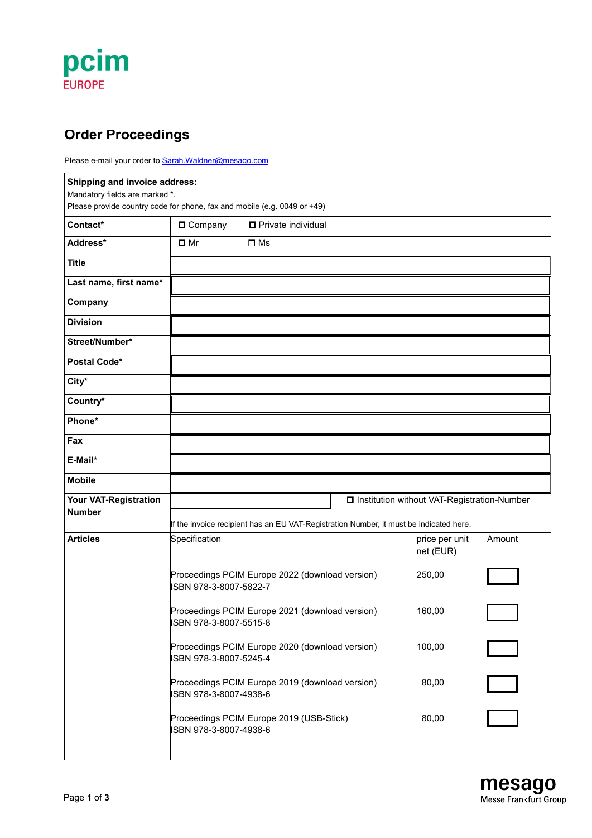## pcim **EUROPE**

### **Order Proceedings**

Please e-mail your order to **[Sarah.Waldner@mesago.com](mailto:Sarah.Waldner@mesago.com)** 

| Shipping and invoice address:<br>Mandatory fields are marked *.<br>Please provide country code for phone, fax and mobile (e.g. 0049 or +49) |                                                                                                                                         |                                                 |  |                             |        |  |  |
|---------------------------------------------------------------------------------------------------------------------------------------------|-----------------------------------------------------------------------------------------------------------------------------------------|-------------------------------------------------|--|-----------------------------|--------|--|--|
| Contact*                                                                                                                                    | <b>D</b> Company                                                                                                                        | □ Private individual                            |  |                             |        |  |  |
| Address*                                                                                                                                    | $\Box$ Mr                                                                                                                               | $\square$ Ms                                    |  |                             |        |  |  |
| <b>Title</b>                                                                                                                                |                                                                                                                                         |                                                 |  |                             |        |  |  |
| Last name, first name*                                                                                                                      |                                                                                                                                         |                                                 |  |                             |        |  |  |
| Company                                                                                                                                     |                                                                                                                                         |                                                 |  |                             |        |  |  |
| <b>Division</b>                                                                                                                             |                                                                                                                                         |                                                 |  |                             |        |  |  |
| Street/Number*                                                                                                                              |                                                                                                                                         |                                                 |  |                             |        |  |  |
| Postal Code*                                                                                                                                |                                                                                                                                         |                                                 |  |                             |        |  |  |
| City*                                                                                                                                       |                                                                                                                                         |                                                 |  |                             |        |  |  |
| Country*                                                                                                                                    |                                                                                                                                         |                                                 |  |                             |        |  |  |
| Phone*                                                                                                                                      |                                                                                                                                         |                                                 |  |                             |        |  |  |
| Fax                                                                                                                                         |                                                                                                                                         |                                                 |  |                             |        |  |  |
| E-Mail*                                                                                                                                     |                                                                                                                                         |                                                 |  |                             |        |  |  |
| <b>Mobile</b>                                                                                                                               |                                                                                                                                         |                                                 |  |                             |        |  |  |
| Your VAT-Registration<br><b>Number</b>                                                                                                      | □ Institution without VAT-Registration-Number<br>If the invoice recipient has an EU VAT-Registration Number, it must be indicated here. |                                                 |  |                             |        |  |  |
| <b>Articles</b>                                                                                                                             | Specification                                                                                                                           |                                                 |  | price per unit<br>net (EUR) | Amount |  |  |
|                                                                                                                                             | ISBN 978-3-8007-5822-7                                                                                                                  | Proceedings PCIM Europe 2022 (download version) |  | 250,00                      |        |  |  |
|                                                                                                                                             | Proceedings PCIM Europe 2021 (download version)<br>ISBN 978-3-8007-5515-8                                                               |                                                 |  | 160,00                      |        |  |  |
|                                                                                                                                             | Proceedings PCIM Europe 2020 (download version)<br>ISBN 978-3-8007-5245-4                                                               |                                                 |  | 100,00                      |        |  |  |
|                                                                                                                                             | Proceedings PCIM Europe 2019 (download version)<br>ISBN 978-3-8007-4938-6                                                               |                                                 |  | 80,00                       | $\Box$ |  |  |
|                                                                                                                                             | Proceedings PCIM Europe 2019 (USB-Stick)<br>ISBN 978-3-8007-4938-6                                                                      |                                                 |  | 80,00                       |        |  |  |
|                                                                                                                                             |                                                                                                                                         |                                                 |  |                             |        |  |  |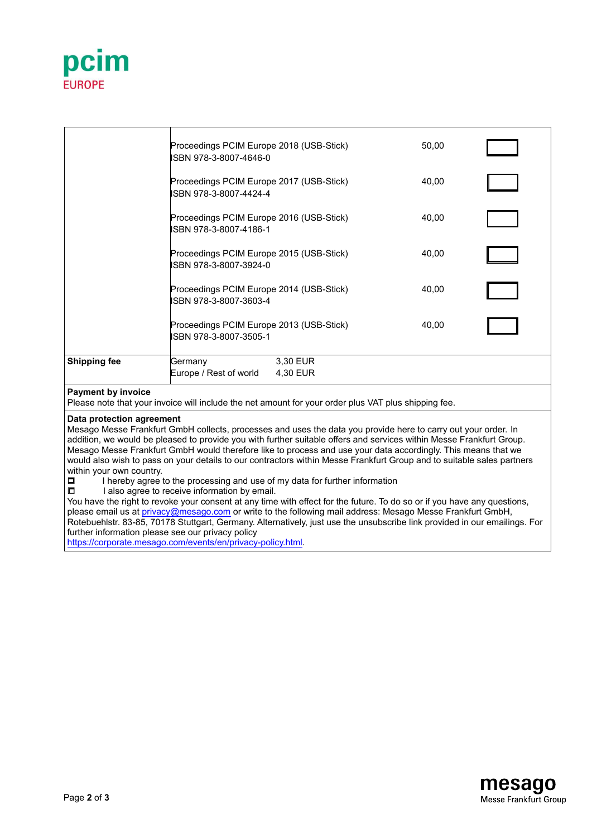

|                           | Proceedings PCIM Europe 2018 (USB-Stick)<br>ISBN 978-3-8007-4646-0 |                      | 50,00 |  |
|---------------------------|--------------------------------------------------------------------|----------------------|-------|--|
|                           | Proceedings PCIM Europe 2017 (USB-Stick)<br>ISBN 978-3-8007-4424-4 |                      | 40,00 |  |
|                           | Proceedings PCIM Europe 2016 (USB-Stick)<br>ISBN 978-3-8007-4186-1 |                      | 40,00 |  |
|                           | Proceedings PCIM Europe 2015 (USB-Stick)<br>ISBN 978-3-8007-3924-0 |                      | 40,00 |  |
|                           | Proceedings PCIM Europe 2014 (USB-Stick)<br>ISBN 978-3-8007-3603-4 |                      | 40,00 |  |
|                           | Proceedings PCIM Europe 2013 (USB-Stick)<br>ISBN 978-3-8007-3505-1 |                      | 40,00 |  |
| <b>Shipping fee</b>       | Germany<br>Europe / Rest of world                                  | 3,30 EUR<br>4,30 EUR |       |  |
| <b>Payment by invoice</b> |                                                                    |                      |       |  |

#### **Payment by invoice**

Please note that your invoice will include the net amount for your order plus VAT plus shipping fee.

#### **Data protection agreement**

Mesago Messe Frankfurt GmbH collects, processes and uses the data you provide here to carry out your order. In addition, we would be pleased to provide you with further suitable offers and services within Messe Frankfurt Group. Mesago Messe Frankfurt GmbH would therefore like to process and use your data accordingly. This means that we would also wish to pass on your details to our contractors within Messe Frankfurt Group and to suitable sales partners within your own country.

I hereby agree to the processing and use of my data for further information

 $\Box$  I also agree to receive information by email.

You have the right to revoke your consent at any time with effect for the future. To do so or if you have any questions, please email us at privacy@mesago.com or write to the following mail address: Mesago Messe Frankfurt GmbH, Rotebuehlstr. 83-85, 70178 Stuttgart, Germany. Alternatively, just use the unsubscribe link provided in our emailings. For further information please see our privacy policy [https://corporate.mesago.com/events/en/privacy-policy.html.](https://corporate.mesago.com/events/en/privacy-policy.html)

> mesago Messe Frankfurt Group